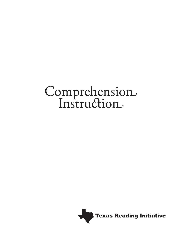# Comprehension

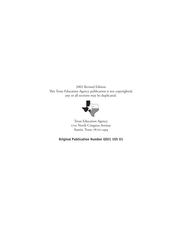2002 Revised Edition This Texas Education Agency publication is not copyrighted; any or all sections may be duplicated.



Texas Education Agency 1701 North Congress Avenue Austin, Texas 78701-1494

# **Original Publication Number GE01 105 01**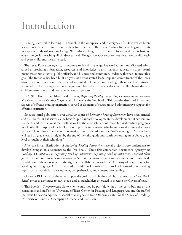# Introduction

Reading is central to learning—in school, in the workplace, and in everyday life. How well children learn to read sets the foundation for their future success. The Texas Reading Initiative began in 1996 in response to then-Governor George W. Bush's challenge to all Texans to focus on the most basic of education goals—teaching all children to read. The goal the Governor set was clear: every child, each and every child, must learn to read.

e Texas Education Agency, in response to Bush's challenge, has worked on a multifaceted effort aimed at providing information, resources, and knowledge to assist parents, educators, school board members, administrators, public officials, and business and community leaders as they seek to meet this goal. The Initiative has been built on years of demonstrated leadership and commitment of the Texas State Board of Education in the areas of reading development and reading difficulties. The Initiative has relied on the convergence of reading research from the past several decades that illuminates the way children learn to read and how to enhance that process.

In 1997, TEA first published the document, *Beginning Reading Instruction, Components and Features*  of a Research-Based Reading Program, also known as the "red book." This booklet described important aspects of effective reading instruction, as well as elements of classroom and administrative support for effective instruction.

Since its initial publication, over 260,000 copies of *Beginning Reading Instruction* have been printed and distributed. It has served as the basis for professional development, the development of curriculum standards and instructional materials, as well as the establishment of research-based reading programs in schools. The purpose of the booklet was to provide information which can be used to guide decisions as local school districts and educators worked toward then-Governor Bush's stated goal, "all students will read on grade level or higher by the end of the third grade and continue reading on or above grade level throughout their schooling."

After the initial distribution of *Beginning Reading Instruction,* several projects were undertaken to develop companion documents to the "red book." These first companion documents: *Spotlight on Reading, A Companion to Beginning Reading Instruction; Beginning Reading Instruction: Practical Ideas*  for Parents; and Instrucción Para Comenzar a Leer: Ideas Prácticas Para Padres de Familia, were published. In addition to these documents, the Agency, in collaboration with the University of Texas Center for Reading and Language Arts, has worked on additional booklets that provide information on reading topics such as vocabulary development, comprehension, and content-area reading.

Governor Rick Perry continues to support the goal that all children will learn to read. This "Red Book Series" serves as a resource to our schools and all stakeholders interested in meeting the Governor's goal.

is booklet, *Comprehension Instruction,* would not be possible without the contributions of the consultants and staff of the University of Texas Center for Reading and Language Arts and the staff of the Texas Education Agency. A special thanks goes to Jean Osborn, Center for the Study of Reading, University of Illinois at Champaign-Urbana, and Fran Lehr.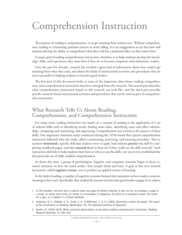# Comprehension Instruction

The purpose of reading is comprehension, or to get meaning from written text.<sup>1</sup> Without comprehen- sion, reading is a frustrating, pointless exercise in word calling. It is no exaggeration to say that how well students develop the ability to comprehend what they read has a profound effect on their entire lives.<sup>2</sup>

A major goal of reading comprehension instruction, therefore, is to help students develop the knowledge, skills, and experiences they must have if they are to become competent and enthusiastic readers.

Over the past few decades, research has revealed a great deal of information about how readers get meaning from what they read, and about the kinds of instructional activities and procedures that are most successful in helping students to become good readers.

The first part of this document looks at some of the important ideas about reading, comprehension, and comprehension instruction that have emerged from this research. The second part describes what comprehension instruction based on this research can look like, and the third part provides specific research-based instructional activities and procedures that can be used as part of comprehension instruction.

# **What Research Tells Us About Reading, Comprehension, and Comprehension Instruction**

For many years, reading instruction was based on a concept of reading as the application of a set of isolated skills such as identifying words, finding main ideas, identifying cause and effect relationships, comparing and contrasting, and sequencing. Comprehension was viewed as the mastery of these skills. One important classroom study conducted during the 1970s found that typical comprehension instruction followed what the study called a mentioning, practicing, and assessing procedure. That is, teachers **mentioned** a specific skill that students were to apply, had students **practice** the skill by completing workbook pages, and then **assessed** them to find out if they could use the skill correctly.3 Such instruction did little to help students learn how or when to use the skills, nor was it ever established that this particular set of skills enabled comprehension.

At about this time, a group of psychologists, linguists, and computer scientists began to focus research attention on how the mind works—how people think and learn. A goal of this new research movement, called **cognitive science,** was to produce an applied science of learning.

In the field of reading, a number of cognitive scientists focused their attention on how readers construct meaning as they read. Specifically, they studied the mental activities that good readers engage in to achieve

<sup>1</sup> In this booklet, the term *text* is used to mean any type of written material. A text can be, for example, a page in a novel, an entire short story, an article in a newspaper or magazine, the print on a computer screen, the words on a sign, or a chapter in a school textbook.

<sup>2</sup> Anderson, R. C., Hiebert, E. H., Scott, J. A., & Wilkinson, I. A. G. (1985). *Becoming a nation of readers: The report of the Commission on Reading.* Washington, DC: The National Institute of Education.

<sup>3</sup> Durkin, D. (1978–1979). What classroom observations reveal about reading comprehension instruction. *Reading Research Quarterly, 15,* 481–533.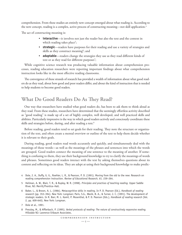comprehension. From these studies an entirely new concept emerged about what reading is. According to the new concept, reading is a complex, active process of constructing meaning—not skill application.<sup>4</sup>

The act of constructing meaning is:

- **interactive**—it involves not just the reader but also the text and the context in which reading takes place<sup>5</sup>;
- **strategic**—readers have purposes for their reading and use a variety of strategies and skills as they construct meaning $6$ ; and
- **adaptable**—readers change the strategies they use as they read different kinds of text or as they read for different purposes $\vec{\ }$ ;

While cognitive science research was producing valuable information about comprehension processes, reading education researchers were reporting important findings about what comprehension instruction looks like in the most effective reading classrooms.

The convergence of these strands of research has provided a wealth of information about what good read- ers do as they read, about how good and poor readers differ, and about the kind of instruction that is needed to help students to become good readers.

# **What Do Good Readers Do As They Read?**

 One way that researchers have studied what good readers do, has been to ask them to think aloud as they read. From these studies, researchers have determined that the seemingly effortless activity described as "good reading" is made up of a set of highly complex, well developed, and well practiced skills and abilities. Particularly impressive is the way in which good readers actively and consciously coordinate these skills and strategies before, during, and after reading a text. $^8$ 

Before reading, good readers tend to set goals for their reading. They note the structure or organization of the text, and often create a mental overview or outline of the text to help them decide whether it is relevant to their goals.

During reading, good readers read words accurately and quickly, and simultaneously deal with the meanings of those words—as well as the meanings of the phrases and sentences into which the words are grouped. Good readers connect the meaning of one sentence to the meaning of another. If something is confusing to them, they use their background knowledge to try to clarify the meanings of words and phrases. Sometimes good readers interact with the text by asking themselves questions about its content and reflecting on its ideas. They are adept at using their background knowledge to make predic-

- 4 Dole, J. A., Duffy, G. G., Roehler, L. R., & Pearson, P. D. (1991). Moving from the old to the new: Research on reading comprehension instruction. *Review of Educational Research, 61,* 239–264.
- 5 Heilman, A. W., Blair, T. R., & Rupley, W. R. (1998). *Principles and practices of teaching reading.* Upper Saddle River, NJ: Merrill/Prentice–Hall.
- 6 Baker, L., & Brown, A. L. (1984). Metacognitive skills in reading. In P. D. Pearson (Ed.), *Handbook of reading research* (pp. 353–394). New York: Longman; Paris, S.G., Wasik, B. A., & Turner, J. C. (1991). The development of strategic readers. In R. Barr, M. L. Kamil, P. Mosenthal, & P. D. Pearson (Eds.), *Handbook of reading research* (Vol. 2, pp. 609-640). New York: Longman.

8 Pressley, M., & Afflerbach, P. (1995). *Verbal protocols of reading: The nature of constructively responsive reading.*  Hillsdale NJ: Lawrence Erlbaum Associates.

<sup>7</sup> Dole et al., 1991.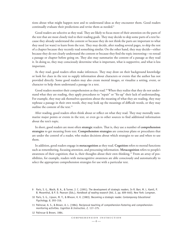tions about what might happen next and to understand ideas as they encounter them. Good readers continually evaluate their predictions and revise them as needed.<sup>9</sup>

Good readers are selective as they read. They are likely to focus more of their attention on the parts of the text that are most closely tied to their reading goals. They may decide to skip some parts of a text because they already understand the content or because they do not think the parts are important to what they need (or want) to learn from the text. They may decide, after reading several pages, to skip the rest of a chapter because they recently read something similar. On the other hand, they may decide—either because they do not clearly understand the content or because they find the topic interesting—to reread a passage or chapter before going on. They also may summarize the content of a passage as they read it. In doing so, they may consciously determine what is important, what is supportive, and what is less important.

As they read, good readers often make inferences. They may draw on their background knowledge or look for clues in the text to supply information about characters or events that the author has not provided directly. Some good readers may also create mental images, or visualize a setting, event, or character to help them understand a passage in a text.

Good readers monitor their comprehension as they read.<sup>10</sup> When they realize that they do not understand what they are reading, they apply procedures to "repair" or "fix-up" their lack of understanding. For example, they may ask themselves questions about the meaning of what they are reading, they may rephrase a passage in their own words, they may look up the meanings of difficult words, or they may outline the content of the text.<sup>11</sup>

After reading, good readers often think about or reflect on what they read. They may mentally summarize major points or events in the text, or even go to other sources to find additional information about the text's topic.

In short, good readers are most often strategic readers. That is, they use a number of comprehension **strategies** to get meaning from text. **Comprehension strategies** are conscious plans or procedures that are under the control of a reader, who makes decisions about which strategies to use and when to use them.

In addition, good readers engage in **metacognition** as they read. **Cognition** refers to mental functions such as remembering, focusing attention, and processing information. **Metacognition** refers to people's awareness of their cognition; that is, their thoughts about their own thinking.<sup>12</sup> From an array of possibilities, for example, readers with metacognitive awareness are able consciously and automatically to select the appropriate comprehension strategies for use with a particular text.

- Paris, S. G., Wasik, B. A., & Turner, J. C. (1991). The development of strategic readers. In R. Barr, M. L. Kamil, P. 9B. Mosenthal, & P. D. Pearson (Eds.), *Handbook of reading research* (Vol. 2, pp. 609–640). New York: Longman.
- 10 Paris, S. G., Lipson, M. Y., & Wixson, K. K. (1983). Becoming a strategic reader. *Contemporary Educational Psychology, 8,* 293–316.
- 11 Palincsar, A. S., & Brown, A. L. (1984). Reciprocal teaching of comprehension-fostering and comprehensionmonitoring activities. *Cognition & Instruction, 2,* 117–175.

12 Palincsar & Brown, 1984.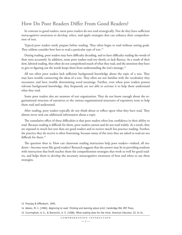# **How Do Poor Readers Differ From Good Readers?**

 In contrast to good readers, most poor readers do not read strategically. Nor do they have sufficient metacognitive awareness to develop, select, and apply strategies that can enhance their comprehen-sion of text.

Typical poor readers rarely prepare before reading. They often begin to read without setting goals. They seldom consider how best to read a particular type of text.<sup>13</sup>

 During reading, poor readers may have difficulty decoding, and so have difficulty reading the words of their texts accurately. In addition, some poor readers read too slowly, or lack fluency. As a result of their slow, labored reading, they often do not comprehend much of what they read, and the attention they have to give to figuring out the words keeps them from understanding the text's message. $^{14}$ 

All too often poor readers lack sufficient background knowledge about the topic of a text. They may have trouble connecting the ideas of a text. They often are not familiar with the vocabulary they encounter, and have trouble determining word meanings. Further, even when poor readers possess relevant background knowledge, they frequently are not able to activate it to help them understand what they read.

Some poor readers also are unaware of text organization. They do not know enough about the organizational structure of narratives or the various organizational structures of expository texts to help them read and understand.

After reading, poor readers typically do not think about or reflect upon what they have read. They almost never seek out additional information about a topic.

The cumulative effect of these difficulties is that poor readers often lose confidence in their ability to read. Because reading is difficult for them, poor readers cannot and do not read widely. As a result, they are exposed to much less text than are good readers and so receive much less practice reading. Further, the practice they do receive is often frustrating, because many of the texts they are asked to read are too difficult for them.15

The question then is: How can classroom reading instruction help poor readers—indeed, all students—become more like good readers? Research suggests that the answer may lie in providing students with instruction that both teaches them the comprehension strategies that work so well for good readers, and helps them to develop the necessary metacognitive awareness of how and when to use these strategies.

15 Cunningham, A. E., & Stanovich, K. E. (1998). What reading does for the mind. *American Educator, 22,* 8–15.

<sup>13</sup> Pressley & Afflerbach, 1995.

<sup>14</sup> Adams, M. J. (1990). *Beginning to read: Thinking and learning about print.* Cambridge MA: MIT Press.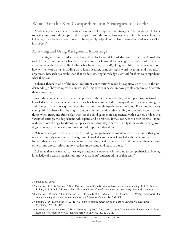# **What Are the Key Comprehension Strategies to Teach?**

Studies on good readers have identified a number of comprehension strategies to be highly useful. These strategies range from the simple to the complex. From the array of strategies examined by researchers, the following strategies have been shown to be especially helpful and to lend themselves particularly well to instruction.16

## **Activating and Using Background Knowledge**

This strategy requires readers to activate their background knowledge and to use that knowledge to help them understand what they are reading. **Background knowledge** is made up of a person's experiences with the world (including what he or she has read), along with his or her concepts about how written text works, including word identification, print concepts, word meaning, and how text is organized. Research has established that readers' existing knowledge is critical for them to comprehend what they read.<sup>17</sup>

**Schema theory** is one of the most important contributions made by cognitive scientists to the understanding of how comprehension works.<sup>18</sup> This theory is based on how people organize and activate their knowledge.

According to schema theory, as people learn about the world, they develop a large network of knowledge structures, or **schemas**, with each schema connected to many others. These schemas grow and change as a person acquires new information through experience and reading. For example, a very young child's schema for *dog* might contain only her or his understanding of the family pet—something white, furry, and fun to play with. As the child gains more experiences with a variety of dogs in a variety of settings, the dog schema will expand and be refined. It may connect to other schema—types of dogs; colors of dogs; foods dogs eat; places where dogs stay when the family is on vacation; dangerous dogs; who veterinarians are; and locations of important dog shows.

When they applied schema theory to reading comprehension, cognitive scientists found that good readers constantly connect their background knowledge to the new knowledge they encounter in a text. In fact, they appear to activate a schema as soon they begin to read. The initial schema then activates others, thus directly affecting how readers understand and react to a text.<sup>19</sup>

Schemas that are related to text organization are especially important to comprehension. Having knowledge of a text's organization improves students' understanding of that text.<sup>20</sup>

- 16 Dole et al., 1991.
- 17 Anderson, R. C., & Pearson, P. D. (1984). A schema-theoretic view of basic processes in reading. In P. D. Pearson, R. Barr, M. L. Kamil, & P. Mosenthal (Eds.), *Handbook of reading research* (pp. 255–292). New York: Longman.
- 18 Anderson & Pearson, 1984; Anderson, R. C., Reynolds, R. E., Schallert, D. L., & Goetz, E. T. (1977). Frameworks for comprehending discourse. *American Educational Research Journal, 14,* 367–382.
- 19 Pichert, J. W., & Anderson, R. C. (1977). Taking different perspectives on a story. *Journal of Educational Psychology, 69,* 309–315.
- 20 Armbruster, B. B., Anderson, T. H., & Ostertag, J. (1987). Does text structure/summarization instruction facilitate learning from expository text? *Reading Research Quarterly, 22,* 331–346.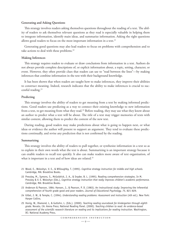#### **Generating and Asking Questions**

This strategy involves readers asking themselves questions throughout the reading of a text. The ability of readers to ask themselves relevant questions as they read is especially valuable in helping them to integrate information, identify main ideas, and summarize information. Asking the right questions allows good readers to focus on the most important information in a text. $21$ 

Generating good questions may also lead readers to focus on problems with comprehension and to take actions to deal with these problems.<sup>22</sup>

#### **Making Inferences**

This strategy requires readers to evaluate or draw conclusions from information in a text. Authors do not always provide complete descriptions of, or explicit information about, a topic, setting, character, or event. However, they often provide clues that readers can use to "read between the lines"—by making inferences that combine information in the text with their background knowledge.

It has been shown that when readers are taught how to make inferences, they improve their abilities to construct meaning. Indeed, research indicates that the ability to make inferences is crucial to successful reading.23

#### **Predicting**

This strategy involves the ability of readers to get meaning from a text by making informed predictions. Good readers use predicting as a way to connect their existing knowledge to new information from a text, to get meaning from what they read.<sup>24</sup> Before reading, they may use what they know about an author to predict what a text will be about. The title of a text may trigger memories of texts with similar content, allowing them to predict the content of the new text.

During reading, good readers may make predictions about what is going to happen next, or what ideas or evidence the author will present to support an argument. They tend to evaluate these predictions continually, and revise any prediction that is not confirmed by the reading.

#### **Summarizing**

This strategy involves the ability of readers to pull together, or synthesize information in a text so as to explain in their own words what the text is about. Summarizing is an important strategy because it can enable readers to recall text quickly. It also can make readers more aware of text organization, of what is important in a text and of how ideas are related.<sup>25</sup>

- 21 Wood, E., Woloshyn, V. E., & Willoughby, T. (1995). *Cognitive strategy instruction for middle and high schools.*  Cambridge, MA: Brookline Books.
- 22 Pressley, M., Symons, S., McGoldrick, J. A., & Snyder, B. L. (1995). Reading comprehension strategies. In M. Pressley & V. E. Woloshyn (Eds.), *Cognitive strategy instruction that really improves children's academic performance. Cambridge,* MA: Brookline Books.
- 23 Anderson & Pearson, 1984; Hansen, J., & Pearson, P. D. (1983). An instructional study: Improving the inferential comprehension of fourth grade good and poor readers. *Journal of Educational Psychology, 75,* 821–829.
- 24 Gillet, J. W., & Temple, C. (1994). *Understanding reading problems: Assessment and instruction* (4th ed.). New York: Harper Collins.
- 25 Honig, W., Diamond, L, & Gutlohn, L. (Eds.). (2000). *Teaching reading sourcebook for kindergarten through eighth grade.* Novato, CA: Arena Press; National Reading Panel. (2000). *Teaching children to read: An evidence-based assessment of the scientific research literature on reading and its implications for reading instruction.* Washington, DC: National Academy Press.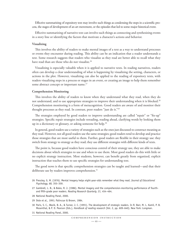Effective summarizing of expository text may involve such things as condensing the steps in a scientific process, the stages of development of an art movement, or the episodes that led to some major historical event.

Effective summarizing of narrative text can involve such things as connecting and synthesizing events in a story line or identifying the factors that motivate a character's actions and behavior.

#### **Visualizing**

This involves the ability of readers to make mental images of a text as a way to understand processes or events they encounter during reading. This ability can be an indication that a reader understands a text. Some research suggests that readers who visualize as they read are better able to recall what they have read than are those who do not visualize.<sup>26</sup>

Visualizing is especially valuable when it is applied to narrative texts. In reading narratives, readers often can develop a clear understanding of what is happening by visualizing the setting, characters, or actions in the plot. However, visualizing can also be applied to the reading of expository texts, with readers visualizing steps in a process or stages in an event, or creating an image to help them remember some abstract concept or important name.<sup>27</sup>

#### **Comprehension Monitoring**

This involves the ability of readers to know when they understand what they read, when they do not understand, and to use appropriate strategies to improve their understanding when it is blocked.<sup>28</sup> Comprehension monitoring is a form of metacognition. Good readers are aware of and monitor their thought processes as they read. In contrast, poor readers "just do it."29

The strategies employed by good readers to improve understanding are called "repair" or "fix-up" strategies. Specific repair strategies include rereading, reading ahead, clarifying words by looking them up in a dictionary or glossary, or asking someone for help.<sup>30</sup>

 In general, good readers use a variety of strategies such as the ones just discussed to construct meaning as they read. However, not all good readers use the same strategies; good readers tend to develop and practice those strategies that are most useful to them. Further, good readers are flexible in their strategy use: they switch from strategy to strategy as they read; they use different strategies with different kinds of texts.

The point is, because good readers have conscious control of their strategy use, they are able to make decisions about which strategies to use and when to use them. Most good readers do this with little or no explicit strategy instruction. Most students, however, can benefit greatly from organized, explicit instruction that teaches them to use specific strategies for understanding text.

The good news is that specific comprehension strategies can be taught and learned—and that their deliberate use by readers improves comprehension.<sup>31</sup>

- 26 Pressley, G. M. (1976). Mental imagery helps eight-year-olds remember what they read. *Journal of Educational Psychology, 68,* 355–359.
- 27 Gambrell, L. B., & Bales, R. J. (1986). Mental imagery and the comprehension-monitoring performance of fourthand fifth-grade poor readers. *Reading Research Quarterly, 21,* 454–464.
- 28 National Reading Panel, 2000.
- 29 Dole et al., 1991; Palincsar & Brown, 1984.
- 30 Paris, S. C., Wasik, B. A., & Turner, J. C. (1991). The development of strategic readers. In R. Barr, M. L. Kamil, P. B. Mosenthal, & P. D. Pearson (Eds.), *Handbook of reading research* (Vol. 2, pp. 609–640). New York: Longman.
- 31 National Reading Panel, 2000.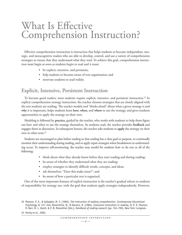# What Is Effective Comprehension Instruction?

Effective comprehension instruction is instruction that helps students to become independent, strategic, and metacognitive readers who are able to develop, control, and use a variety of comprehension strategies to ensure that they understand what they read. To achieve this goal, comprehension instruction must begin as soon as students begin to read and it must:

- be explicit, intensive, and persistent;
- help students to become aware of text organization; and
- motivate students to read widely.

# **Explicit, Intensive, Persistent Instruction**

To become good readers, most students require explicit, intensive, and persistent instruction.<sup>32</sup> In explicit comprehension strategy instruction, the teacher chooses strategies that are closely aligned with the text students are reading. The teacher models and "thinks aloud" about what a given strategy is and **why** it is important, helps students learn **how, when,** and **where** to use the strategy, and gives students opportunities to apply the strategy on their own.

 Modeling is followed by **practice,** guided by the teacher, who works with students to help them figure out how and when to use the strategy themselves. As students read, the teacher provides **feedback** and engages them in discussion. In subsequent lessons, the teacher asks students to **apply** the strategy on their own to other texts.33

 Students are encouraged to plan before reading so that reading has a clear goal or purpose, to continually monitor their understanding during reading, and to apply repair strategies when breakdowns in understand- ing occur. To improve self-monitoring, the teacher may model for students how to do one or all of the following:

- think about what they already know before they start reading and during reading;
- be aware of whether they understand what they are reading;
- employ strategies to identify difficult words, concepts, and ideas;
- ask themselves: "Does this make sense?"; and
- be aware of how a particular text is organized.

One of the most important features of explicit instruction is the teacher's gradual release to students of responsibility for strategy use, with the goal that students apply strategies independently. However,

33 Honig et al., 2000.

<sup>32</sup> Pearson, P. E., & Gallagher, M. C. (1983). The instruction of reading comprehension. *Contemporary Educational Psychology, 8,* 317–344; Rosenshine, B., & Stevens, R. (1984). Classroom instruction in reading. In P. D. Pearson, R. Barr, M. L. Kamil, & P. B. Mosenthal (Eds.), *Handbook of reading research* (pp. 745–799). New York: Longman.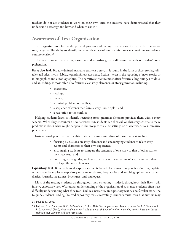teachers do not ask students to work on their own until the students have demonstrated that they understand a strategy and how and when to use it. $34$ 

# **Awareness of Text Organization**

**Text organization** refers to the physical patterns and literary conventions of a particular text structure, or genre. The ability to identify and take advantage of text organization can contribute to students' comprehension.<sup>35</sup>

e two major text structures, **narrative** and **expository,** place different demands on readers' comprehension.

**Narrative Text.** Broadly defined, narrative text tells a story. It is found in the form of short stories, folktales, tall tales, myths, fables, legends, fantasies, science fiction—even in the reporting of news stories or in biographies and autobiographies. The narrative structure most often features a beginning, a middle, and an ending. It most often also features clear story elements, or **story grammar,** including:

- • characters,
- settings,
- themes,
- a central problem, or conflict,
- a sequence of events that form a story line, or plot, and
- a resolution to the conflict.

Helping students learn to identify recurring story grammar elements provides them with a story schema. When they encounter a new narrative text, students can then call on this story schema to make predictions about what might happen in the story, to visualize settings or characters, or to summarize plot events.

Instructional practices that facilitate students' understanding of narrative text include:

- focusing discussions on story elements and encouraging students to relate story events and characters to their own experiences;
- encouraging students to compare the structure of one story to that of other stories they have read; and
- • preparing visual guides, such as story maps of the structure of a story, to help them recall specific story elements.

**Expository Text.** Broadly defined, **expository text** is factual. Its primary purpose is to inform, explain, or persuade. Examples of expository texts are textbooks, biographies and autobiographies, newspapers, diaries, journals, magazines, brochures, and catalogues.

Most of the reading students do throughout their schooling—indeed, throughout their lives—will involve expository text. Without an understanding of the organization of such text, students often have difficulty understanding what they read. Unlike a narrative, an expository text has no familiar story line to guide students' reading. To read expository texts successfully, students must learn that authors may

<sup>34</sup> Dole et al., 1991.

<sup>35</sup> Dickson, S. V., Simmons, D. C., & Kame'enui, E. J. (1998). Text organization: Research bases. In D. C. Simmons & E. J. Kameenui (Eds.), *What reading research tells us about children with diverse learning needs: Bases and basics.*  Mahwah, NJ: Lawrence Erlbaum Associates.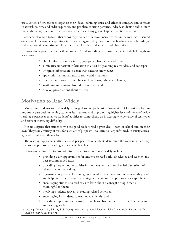use a variety of structures to organize their ideas, including cause and effect or compare and contrast relationships, time and order sequences, and problem-solution patterns. Indeed, students need to know that authors may use some or all of these structures in any given chapter or section of a text.

Students also need to learn that expository text can differ from narrative text in the way it is presented on a page. For example, expository text may be organized by means of text headings and subheadings, and may contain extensive graphics, such as tables, charts, diagrams, and illustrations.

Instructional practices that facilitate students' understanding of expository text include helping them learn how to:

- chunk information in a text by grouping related ideas and concepts;
- summarize important information in a text by grouping related ideas and concepts;
- integrate information in a text with existing knowledge;
- • apply information in a text to real-world situations;
- interpret and construct graphics such as charts, tables, and figures;
- • synthesize information from different texts; and
- develop presentations about the text.

# **Motivation to Read Widely**

Motivating students to read widely is integral to comprehension instruction. Motivation plays an important part both in helping students learn to read and in promoting higher levels of literacy.<sup>36</sup> Wide reading experiences enhance students' abilities to comprehend an increasingly wider array of text types and texts of increasing difficulty.

It is no surprise that students who are good readers read a great deal—both in school and on their own. They read a variety of texts for a variety of purposes—to learn, to keep informed, to satisfy curiosity, and to entertain themselves.

The reading experiences, attitudes, and perspectives of students determine the ways in which they perceive the purpose of reading and value its benefits.

Instructional practices to promote students' motivation to read widely include:

- • providing daily opportunities for students to read both self-selected and teacher- and peer-recommended texts;
- • providing frequent opportunities for both student- and teacher-led discussions of what students are reading;
- • organizing cooperative learning groups in which students can discuss what they read, and help each other choose the strategies that are most appropriate for a specific text;
- encouraging students to read so as to learn about a concept or topic that is meaningful to them;
- involving students actively in reading-related activities;
- encouraging for students to read independently; and
- providing opportunities for students to choose from texts that reflect different genres and reading levels.
- 36 See, e.g., Turner, J. C., & Paris, S. G. (1995). How literacy tasks influence children's motivation for literacy. *The Reading Teacher, 48,* 662–675.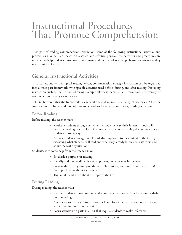# Instructional Procedures That Promote Comprehension

As part of reading comprehension instruction, some of the following instructional activities and procedures may be used. Based on research and effective practice, the activities and procedures are intended to help students learn how to coordinate and use a set of key comprehension strategies as they read a variety of texts.

# **General Instructional Activities**

To correspond with a typical reading lesson, comprehension strategy instruction can be organized into a three-part framework, with specific activities used before, during, and after reading. Providing instruction such as that in the following example allows students to see, learn, and use a variety of comprehension strategies as they read.

Note, however, that the framework is a general one and represents an array of strategies. All of the strategies in this framework do not have to be used with every text or in every reading situation.

# **Before Reading**

Before reading, the teacher may:

- Motivate students through activities that may increase their interest—book talks, dramatic readings, or displays of art related to the text—making the text relevant to students in some way.
- Activate students' background knowledge important to the content of the text by discussing what students will read and what they already know about its topic and about the text organization.

Students, with some help from the teacher, may:

- • Establish a purpose for reading.
- • Identify and discuss difficult words, phrases, and concepts in the text.
- • Preview the text (by surveying the title, illustrations, and unusual text structures) to make predictions about its content.
- Think, talk, and write about the topic of the text.

## **During Reading**

During reading, the teacher may:

- Remind students to use comprehension strategies as they read and to monitor their understanding.
- Ask questions that keep students on track and focus their attention on main ideas and important points in the text.
- • Focus attention on parts in a text that require students to make inferences.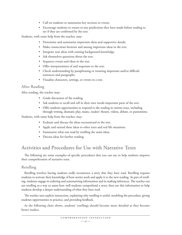- • Call on students to summarize key sections or events.
- • Encourage students to return to any predictions they have made before reading to see if they are confirmed by the text.

Students, with some help from the teacher, may:

- • Determine and summarize important ideas and supportive details.
- • Make connections between and among important ideas in the text.
- Integrate new ideas with existing background knowledge.
- Ask themselves questions about the text.
- • Sequence events and ideas in the text.
- • Offer interpretations of and responses to the text.
- Check understanding by paraphrasing or restating important and/or difficult sentences and paragraphs.
- • Visualize characters, settings, or events in a text.

# **After Reading**

After reading, the teacher may:

- Guide discussion of the reading.
- Ask students to recall and tell in their own words important parts of the text.
- • Offer students opportunities to respond to the reading in various ways, including through writing, dramatic play, music, readers' theatre, videos, debate, or pantomime.

Students, with some help from the teacher, may:

- • Evaluate and discuss the ideas encountered in the text.
- • Apply and extend these ideas to other texts and real life situations.
- • Summarize what was read by retelling the main ideas.
- • Discuss ideas for further reading.

# **Activities and Procedures for Use with Narrative Texts**

The following are some examples of specific procedures that you can use to help students improve their comprehension of narrative texts.

## **Retelling**

 Retelling involves having students orally reconstruct a story that they have read. Retelling requires students to activate their knowledge of how stories work and apply it to the new reading. As part of retelling, students engage in ordering and summarizing information and in making inferences. The teacher can use retelling as a way to assess how well students comprehend a story, then use this information to help students develop a deeper understanding of what they have read.

The teacher uses explicit instruction, explaining why retelling is useful, modeling the procedure, giving students opportunities to practice, and providing feedback.

 As the following chart shows, students' retellings should become more detailed as they become better readers.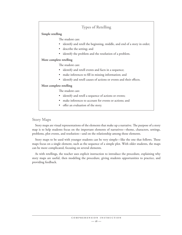# **Types of Retelling**

#### **Simple retelling**

The student can:

- identify and retell the beginning, middle, and end of a story in order;
- describe the setting; and
- identify the problem and the resolution of a problem.

#### **More complete retelling**

The student can:

- identify and retell events and facts in a sequence;
- make inferences to fill in missing information; and
- identify and retell causes of actions or events and their effects.

#### **Most complete retelling**

The student can:

- identify and retell a sequence of actions or events;
- make inferences to account for events or actions; and
- offer an evaluation of the story.

## **Story Maps**

Story maps are visual representations of the elements that make up a narrative. The purpose of a story map is to help students focus on the important elements of narratives—theme, characters, settings, problems, plot events, and resolution—and on the relationship among those elements.

Story maps to be used with younger students can be very simple—like the one that follows. These maps focus on a single element, such as the sequence of a simple plot. With older students, the maps can be more complicated, focusing on several elements.

As with retellings, the teacher uses explicit instruction to introduce the procedure, explaining why story maps are useful, then modeling the procedure, giving students opportunities to practice, and providing feedback.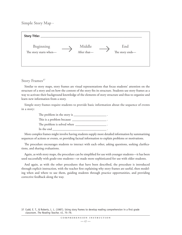# **Simple Story Map**

| Story Title:                        |                       |                        |  |
|-------------------------------------|-----------------------|------------------------|--|
| Beginning<br>The story starts when- | Middle<br>After that- | End<br>The story ends- |  |

## Story Frames<sup>37</sup>

Similar to story maps, story frames are visual representations that focus students' attention on the structure of a story and on how the content of the story fits its structure. Students use story frames as a way to activate their background knowledge of the elements of story structure and thus to organize and learn new information from a story.

 Simple story frames require students to provide basic information about the sequence of events in a story:

> The problem in the story is \_\_\_\_\_\_\_\_\_\_\_\_\_\_\_\_\_\_\_\_\_\_\_\_\_\_. This is a problem because  $\_\_$ The problem is solved when In the end

 More complex frames might involve having students supply more detailed information by summarizing sequences of actions or events, or providing factual information to explain problems or motivations.

The procedure encourages students to interact with each other, asking questions, seeking clarifications, and sharing evaluations.

Again, as with story maps, the procedure can be simplified for use with younger students—it has been used successfully with grade-one students—or made more sophisticated for use with older students.

And again, as with the other procedures that have been described, the procedure is introduced through explicit instruction, with the teacher first explaining why story frames are useful, then modeling when and where to use them, guiding students through practice opportunities, and providing corrective feedback along the way.

<sup>37</sup> Cudd, E. T., & Roberts, L. L. (1987). Using story frames to develop reading comprehension in a first grade classroom. *The Reading Teacher, 41,* 75–79.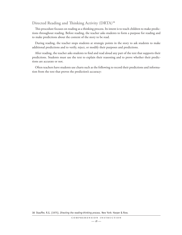# Directed Reading and Thinking Activity (DRTA)<sup>38</sup>

This procedure focuses on reading as a thinking process. Its intent is to teach children to make predictions throughout reading. Before reading, the teacher asks students to form a purpose for reading and to make predictions about the content of the story to be read.

During reading, the teacher stops students at strategic points in the story to ask students to make additional predictions and to verify, reject, or modify their purposes and predictions.

After reading, the teacher asks students to find and read aloud any part of the text that supports their predictions. Students must use the text to explain their reasoning and to prove whether their predictions are accurate or not.

Often teachers have students use charts such as the following to record their predictions and information from the text that proves the prediction's accuracy:

38 Stauffer, R.G. (1975). *Directing the reading-thinking process.* New York: Harper & Row.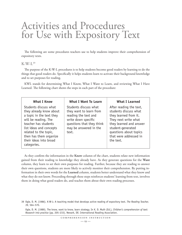# Activities and Procedures for Use with Expository Text

The following are some procedures teachers use to help students improve their comprehension of expository texts.

#### **K-W-L39**

The purpose of the K-W-L procedures is to help students become good readers by learning to do the things that good readers do. Specifically it helps students learn to activate their background knowledge and to set purposes for reading.

KWL stands for determining What I Know, What I Want to Learn, and reviewing What I Have Learned. The following chart shows the steps in each part of the procedure:

| <b>What I Know</b>                                                                                                                                                                                                                                  | <b>What I Want To Learn</b>                                                                                                                                     | <b>What I Learned</b>                                                                                                                                                                                              |
|-----------------------------------------------------------------------------------------------------------------------------------------------------------------------------------------------------------------------------------------------------|-----------------------------------------------------------------------------------------------------------------------------------------------------------------|--------------------------------------------------------------------------------------------------------------------------------------------------------------------------------------------------------------------|
| Students discuss what<br>they already know about<br>a topic in the text they<br>will be reading. The<br>teacher has students<br>list ideas and concepts<br>related to the topic,<br>then has them organize<br>their ideas into broad<br>categories. | Students discuss what<br>they want to learn from<br>reading the text and<br>write down specific<br>questions that they think<br>may be answered in the<br>text. | After reading the text,<br>students discuss what<br>they learned from it.<br>They next write what<br>they learned and answer<br>student-generated<br>questions about topics<br>that were addressed in<br>the text. |

As they confirm the information in the **Know** column of the chart, students relate new information gained from their reading to knowledge they already have. As they generate questions for the **Want**  column, they learn to set their own purposes for reading. Further, because they are reading to answer their own questions, students are more likely to actively monitor their comprehension. By putting information in their own words for the **Learned** column, students better understand what they know and what they do not know. Proceeding through these steps reinforces students' learning from text, involves them in doing what good readers do, and teaches them about their own reading processes.

<sup>39</sup> Ogle, D. M. (1986). K-W-L: A teaching model that develops active reading of expository text. *The Reading Teacher, 39,* 564–570.

Ogle, D. M. (1989). The know, want to know, learn strategy. In K. D. Muth (Ed.), *Children's comprehension of text: Research into practice* (pp. 205–233). Newark, DE: International Reading Association.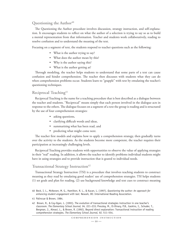## **Questioning the Author**<sup>40</sup>

The Questioning the Author procedure involves discussion, strategy instruction, and self-explanation. It encourages students to reflect on what the author of a selection is trying to say so as to build a mental representation from that information. Teacher and students work collaboratively, reading to resolve confusion and to understand the meaning of the text.

Focusing on a segment of text, the students respond to teacher questions such as the following:

- What is the author trying to say?
- What does the author mean by this?
- Why is the author saying this?
- What is the author getting at?

Through modeling, the teacher helps students to understand that some parts of a text can cause confusion and hinder comprehension. The teacher then discusses with students what they can do when comprehension problems occur. Students learn to "grapple" with text by emulating the teacher's questioning techniques.

## **Reciprocal Teaching**<sup>41</sup>

Reciprocal Teaching is the name for a teaching procedure that is best described as a dialogue between the teacher and students. "Reciprocal" means simply that each person involved in the dialogue acts in response to the others. The dialogue focuses on a segment of a text the group is reading and is structured by the use of four comprehension strategies:

- asking questions,
- clarifying difficult words and ideas,
- summarizing what has been read, and
- predicting what might come next.

The teacher first models and explains how to apply a comprehension strategy, then gradually turns over the activity to the students. As the students become more competent, the teacher requires their participation at increasingly challenging levels.

Reciprocal Teaching provides students with opportunities to observe the value of applying strategies in their "real" reading. In addition, it allows the teacher to identify problems individual students might have in using strategies and to provide instruction that is geared to individual needs.

# **Transactional Strategy Instruction**<sup>42</sup>

Transactional Strategy Instruction (TSI) is a procedure that involves teaching students to construct meaning as they read by emulating good readers' use of comprehension strategies. TSI helps students (1) set goals and plan for reading, (2) use background knowledge and text cues to construct meaning

41 Palincsar & Brown, 1984.

<sup>40</sup> Beck, I. L., McKeown, M. G., Hamilton, R. L., & Kucan, L. (1997). *Questioning the author: An approach for enhancing student engagement with text.* Newark, DE: International Reading Association.

<sup>42</sup> Brown, R., & Coy-Ogan, L. (1993). The evolution of transactional strategies instruction in one teacher's classroom. *The Elementary School Journal, 94,* 221–233; Pressley, M., El-Dinary, P.B., Gaskins, I., Schuder, T., Bergman, J., Almasi, L., & Brown, R. (1992). Beyond direct explanation: Transactional instruction of reading comprehension strategies. *The Elementary School Journal, 92,* 511–554.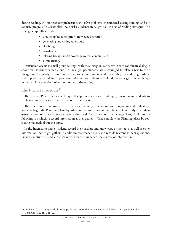during reading, (3) monitor comprehension, (4) solve problems encountered during reading, and (5) evaluate progress. To accomplish these tasks, students are taught to use a set of reading strategies. The strategies typically include:

- predicting based on prior-knowledge activation,
- generating and asking questions,
- clarifying,
- visualizing,
- relating background knowledge to text content, and
- summarizing.

Instruction occurs in small-group settings, with the strategies used as vehicles to coordinate dialogue about text as students read aloud. In their groups, students are encouraged to relate a text to their background knowledge, to summarize text, to describe any mental images they make during reading, and to predict what might happen next in the text. As students read aloud, they engage in and exchange individual interpretations of and responses to the reading.

# **The I-Chart Procedure**<sup>43</sup>

The I-Chart Procedure is a technique that promotes critical thinking by encouraging students to apply reading strategies to learn from content-area texts.

e procedure is organized into three phases: Planning, Interacting, and Integrating and Evaluating. Students begin the Planning phase by using content-area texts to identify a topic of study. They then generate questions they want to answer as they read. Next, they construct a large chart, similar to the following, on which to record information as they gather it. They complete the Planning phase by collecting materials about the topic.

In the Interacting phase, students record their background knowledge of the topic, as well as other information they might gather. In addition, the teacher elicits and records relevant student questions. Finally, the students read and discuss, with teacher guidance, the sources of information.

<sup>43</sup> Hoffman, J. V. (1992). Critical reading/thinking across the curriculum: Using I-Charts to support learning. *Language Arts, 69,* 121–127.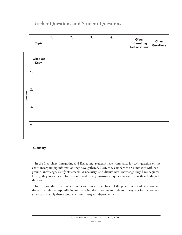# **Teacher Questions and Student Questions**

|         | <b>Topic</b>    | 1. | 2. | 3. | 4. | <b>Other</b><br>Interesting<br>Facts/Figures | <b>Other</b><br>Questions |
|---------|-----------------|----|----|----|----|----------------------------------------------|---------------------------|
|         | What We<br>Know |    |    |    |    |                                              |                           |
|         | 1.              |    |    |    |    |                                              |                           |
| Sources | 2.              |    |    |    |    |                                              |                           |
|         | 3.              |    |    |    |    |                                              |                           |
|         | 4.              |    |    |    |    |                                              |                           |
|         | <b>Summary</b>  |    |    |    |    |                                              |                           |

In the final phase, Integrating and Evaluating, students make summaries for each question on the chart, incorporating information they have gathered. Next, they compare their summaries with background knowledge, clarify statements as necessary, and discuss new knowledge they have acquired. Finally, they locate new information to address any unanswered questions and report their findings to the group.

In this procedure, the teacher directs and models the phases of the procedure. Gradually, however, the teacher releases responsibility for managing the procedure to students. The goal is for the reader to satisfactorily apply these comprehension strategies independently.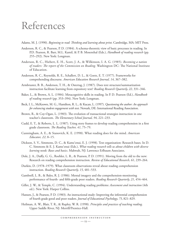# References

Adams, M. J. (1990). *Beginning to read: Thinking and learning about print*. Cambridge, MA: MIT Press.

- Anderson, R. C., & Pearson, P. D. (1984). A schema-theoretic view of basic processes in reading. In P.D. Pearson, R. Barr, M.L. Kamil, & P. B. Mosenthal (Eds.), *Handbook of reading research* (pp. 255–292). New York: Longman.
- Anderson, R. C., Hiebert, E. H., Scott, J. A., & Wilkinson, I. A. G. (1985). *Becoming a nation of readers: The report of the Commission on Reading*. Washington DC: The National Institute of Education.
- Anderson, R. C., Reynolds, R. E., Schallert, D. L., & Goetz, E. T. (1977). Frameworks for comprehending discourse. *American Education Research Journal, 14*, 367–382.
- Armbruster, B. B., Anderson, T. H., & Ostertag, J. (1987). Does text structure/summarization instruction facilitate learning from expository text? *Reading Research Quarterly, 22*, 331–346.
- Baker, L., & Brown, A. L. (1984). Metacognitive skills in reading. In P. D. Pearson (Ed.), *Handbook of reading research* (pp. 353–394). New York: Longman.
- Beck, I. L., McKeown, M. G., Hamilton, R. L., & Kucan, L. (1997). *Questioning the author: An approach for enhancing student engagement with text*. Newark, DE: International Reading Association.
- Brown, R., & Coy-Ogan, L. (1983). The evolution of transactional strategies instruction in one teacher's classroom. *The Elementary School Journal*, 94, 221-233.
- Cudd, E. T., & Roberts, L. L. (1987). Using story frames to develop reading comprehension in a first grade classroom. *The Reading Teacher*, 41, 75–79.
- Cunningham, A. E., & Stanovich, K. E. (1998). What reading does for the mind. *American Educator, 22*, 8–15.
- Dickson, S. V., Simmons, D. C., & Kame'enui, E. J. (1998). Text organization: Research bases. In D. C. Simmons & E. J. Kame'enui (Eds.), *What reading research tells us about children with diverse learning needs: Bases and basics*. Mahwah, NJ: Lawrence Erlbaum Associates.
- Dole, J. A., Duffy, G. G., Roehler, L. R., & Pearson, P. D. (1991). Moving from the old to the new: Research on reading comprehension instruction. *Review of Educational Research, 61*, 239–264.
- Durkin, D. (1978–1979). What classroom observations reveal about reading comprehension instruction. *Reading Research Quarterly, 15*, 481–533.
- Gambrell, L. B., & Bales, R. J. (1986). Mental imagery and the comprehension-monitoring performance of fourth- and fifth-grade poor readers. *Reading Research Quarterly, 21*, 454–464.
- Gillet, J. W., & Temple, C. (1994). Understanding reading problems: *Assessment and instruction* (4th ed.). New York: Harper Collins.
- Hansen, J., & Pearson, P. D. (1983). An instructional study: Improving the inferential comprehension of fourth grade good and poor readers. *Journal of Educational Psychology, 75*, 821–829.
- Heilman, A. W., Blair, T. R., & Rupley, W. R. (1998). *Principles and practices of teaching reading*. Upper Saddle River, NJ: Merrill/Prentice-Hall.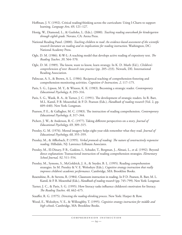- Hoffman, J. V. (1992). Critical reading/thinking across the curriculum: Using I-Charts to support learning. *Language Arts, 69*, 121–127.
- Honig, W., Diamond, L., & Gutlohn, L. (Eds.). (2000). *Teaching reading sourcebook for kindergarten through eighth grade.* Novato, CA: Arena Press.
- National Reading Panel. (2000). *Teaching children to read: An evidence-based assessment of the scientific research literature on reading and its implications for reading instruction*. Washington, DC: National Academy Press.
- Ogle, D. M. (1986). K-W-L: A teaching model that develops active reading of expository text. *The Reading Teacher, 39*, 564–570.
- Ogle, D. M. (1989). The know, want to know, learn strategy. In K. D. Muth (Ed.), *Children's comprehension of text: Research into practice* (pp. 205–233). Newark, DE: International Reading Association.
- Palincsar, A. S., & Brown, A. L. (1984). Reciprocal teaching of comprehension-fostering and comprehension-monitoring activities. *Cognition & Instruction, 2*, 117–175.
- Paris, S. G., Lipson, M. Y., & Wixson, K. K. (1983). Becoming a strategic reader. *Contemporary Educational Psychology, 8*, 293–316.
- Paris, S. G., Wasik, B. A., & Turner, J. C. (1991). The development of strategic readers. In R. Barr, M.L. Kamil, P. B. Mosenthal, & P. D. Pearson (Eds.), *Handbook of reading research* (Vol. 2, pp. 609–640). New York: Longman.
- Pearson, P. E., & Gallagher, M. C. (1983). The instruction of reading comprehension. *Contemporary Educational Psychology, 8,* 317–344.
- Pichert, J. W., & Anderson, R. C. (1977). Taking different perspectives on a story. *Journal of Educational Psychology, 69*, 309–315.
- Pressley, G. M. (1976). Mental imagery helps eight-year-olds remember what they read. *Journal of Educational Psychology, 68*, 355–359.
- Pressley, M., & Afflerbach, P. (1995). *Verbal protocols of reading: The nature of constructively responsive reading*. Hillsdale, NJ: Lawrence Erlbaum Associates.
- Pressley, M., El-Dinary, P. B., Gaskins, I., Schuder, T., Bergman, J., Almasi, L., et al. (1992). Beyond direct explanation: Transactional instruction of reading comprehension strategies. *Elementary School Journal, 92*, 511–554.
- Pressley, M., Symons, S., McGoldrick, J. A., & Snyder, B. L. (1995). Reading comprehension strategies. In M. Pressley & V. E. Woloshyn (Eds.), *Cognitive strategy instruction that really improves children's academic performance*. Cambridge, MA: Brookline Books.
- Rosenshine, B., & Stevens, R. (1984). Classroom instruction in reading. In P. D. Pearson, R. Barr, M. L. Kamil, & P. B. Mosenthal (Eds.), *Handbook of reading research* (pp. 745–799). New York: Longman
- Turner, J. C., & Paris, S. G. (1995). How literacy tasks influence childeren's motivaion for literacy. *e Reading Teacher, 48,* 662–675.
- Stauffer, R. G. (1975). *Directing the reading-thinking process*. New York: Harper & Row.
- Wood, E., Woloshyn, V. E., & Willoughby, T. (1995). *Cognitive strategy instruction for middle and high schools*. Cambridge, MA: Brookline Books.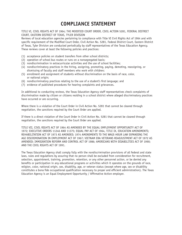# **COMPLIANCE STATEMENT**

#### TITLE VI, CIVIL RIGHTS ACT OF 1964; THE MODIFIED COURT ORDER, CIVIL ACTION 5281, FEDERAL DISTRICT COURT, EASTERN DISTRICT OF TEXAS, TYLER DIVISION

Reviews of local education agencies pertaining to compliance with Title VI Civil Rights Act of 1964 and with specific requirement of the Modified Court Order, Civil Action No. 5281, Federal District Court, Eastern District of Texas, Tyler Division are conducted periodically by staff representatives of the Texas Education Agency. These reviews cover at least the following policies and practices:

- (1) acceptance policies on student transfers from other school districts;
- (2) operation of school bus routes or runs on a nonsegregated basis;
- (3) nondiscrimination in extracurricular activities and the use of school facilities;
- $(4)$  nondiscriminatory practices in the hiring, assigning, promoting, paying, demoting, reassigning, or dismissing of faculty and staff members who work with children;
- (5) enrollment and assignment of students without discrimination on the basis of race, color, or national origin:
- (6) nondiscriminatory practices relating to the use of a student's first language; and
- (7) evidence of published procedures for hearing complaints and grievances.

In additional to conducting reviews, the Texas Education Agency staff representatives check complaints of discrimination made by citizen or citizens residing in a school district where alleged discriminatory practices have occurred or are occurring.

Where there is a violation of the Court Order in Civil Action No. 5281 that cannot be cleared through negotiation, the sanctions required by the Court Order are applied.

If there is a direct violation of the Court Order in Civil Action No. 5281 that cannot be cleared through negotiation, the sanctions required by the Court Order are applied.

TITLE VII, CIVIL RIGHTS ACT OF 1964 AS AMENDED BY THE EQUAL EMPLOYMENT OPPORTUNITY ACT OF 1972; EXECUTIVE ORDERS 11246 AND 11375; EQUAL PAY ACT OF 1964, TITLE IX, EDUCATION AMENDMENTS; REHABILITATION ACT OF 1973 AS AMENDED; 1974 AMENDMENTS TO THE WAGE-HOUR LAW EXPANDING THE AGE DISCRIMINATION IN EMPLOYMENT ACT OF 1967; VIETNAM ERA VETERANS READJUSTMENT ACT OF 1972 AS AMENDED; IMMIGRATION REFORM AND CONTROL ACT OF 1986; AMERICANS WITH DISABILITIES ACT OF 1990; AND THE CIVIL RIGHTS ACT OF 1991.

The Texas Education Agency shall comply fully with the nondiscrimination provisions of all federal and state laws, rules and regulations by assuring that no person shall be excluded from consideration for recruitment, selection, appointment, training, promotion, retention, or any other personnel action, or be denied any benefits or participation in any educational programs or activities which it operates on the grounds of race, religion, color, national origin, sex, disability, age, or veteran status (except where age, sex or disability constitutes a bona fide occupational qualification necessary to proper and efficient administration). The Texas Education Agency is an Equal Employment Opportunity / Affirmative Action employer.